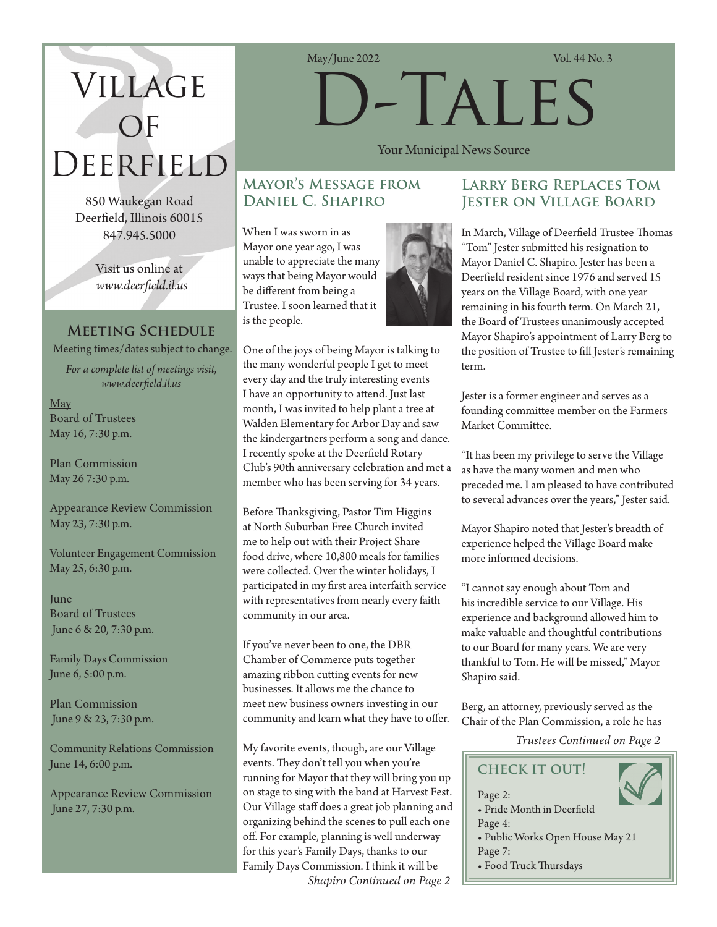# Village  $\overline{OF}$ Deerfield

850 Waukegan Road Deerfield, Illinois 60015 847.945.5000

> Visit us online at *www.deerfield.il.us*

# **Meeting Schedule**

Meeting times/dates subject to change.

*For a complete list of meetings visit, www.deerfield.il.us*

May Board of Trustees May 16, 7:30 p.m.

Plan Commission May 26 7:30 p.m.

Appearance Review Commission May 23, 7:30 p.m.

Volunteer Engagement Commission May 25, 6:30 p.m.

June Board of Trustees June 6 & 20, 7:30 p.m.

Family Days Commission June 6, 5:00 p.m.

Plan Commission June 9 & 23, 7:30 p.m.

Community Relations Commission June 14, 6:00 p.m.

Appearance Review Commission June 27, 7:30 p.m.

May/June 2022 Vol. 44 No. 3

# D-Tales

Your Municipal News Source

# **Mayor's Message from Daniel C. Shapiro**

When I was sworn in as Mayor one year ago, I was unable to appreciate the many ways that being Mayor would be different from being a Trustee. I soon learned that it is the people.



One of the joys of being Mayor is talking to the many wonderful people I get to meet every day and the truly interesting events I have an opportunity to attend. Just last month, I was invited to help plant a tree at Walden Elementary for Arbor Day and saw the kindergartners perform a song and dance. I recently spoke at the Deerfield Rotary Club's 90th anniversary celebration and met a member who has been serving for 34 years.

Before Thanksgiving, Pastor Tim Higgins at North Suburban Free Church invited me to help out with their Project Share food drive, where 10,800 meals for families were collected. Over the winter holidays, I participated in my first area interfaith service with representatives from nearly every faith community in our area.

If you've never been to one, the DBR Chamber of Commerce puts together amazing ribbon cutting events for new businesses. It allows me the chance to meet new business owners investing in our community and learn what they have to offer.

*Shapiro Continued on Page 2* My favorite events, though, are our Village events. They don't tell you when you're running for Mayor that they will bring you up on stage to sing with the band at Harvest Fest. Our Village staff does a great job planning and organizing behind the scenes to pull each one off. For example, planning is well underway for this year's Family Days, thanks to our Family Days Commission. I think it will be

# **Larry Berg Replaces Tom Jester on Village Board**

In March, Village of Deerfield Trustee Thomas "Tom" Jester submitted his resignation to Mayor Daniel C. Shapiro. Jester has been a Deerfield resident since 1976 and served 15 years on the Village Board, with one year remaining in his fourth term. On March 21, the Board of Trustees unanimously accepted Mayor Shapiro's appointment of Larry Berg to the position of Trustee to fill Jester's remaining term.

Jester is a former engineer and serves as a founding committee member on the Farmers Market Committee.

"It has been my privilege to serve the Village as have the many women and men who preceded me. I am pleased to have contributed to several advances over the years," Jester said.

Mayor Shapiro noted that Jester's breadth of experience helped the Village Board make more informed decisions.

"I cannot say enough about Tom and his incredible service to our Village. His experience and background allowed him to make valuable and thoughtful contributions to our Board for many years. We are very thankful to Tom. He will be missed," Mayor Shapiro said.

Berg, an attorney, previously served as the Chair of the Plan Commission, a role he has

*Trustees Continued on Page 2*

# **check it out!**

Page 2: • Pride Month in Deerfield Page 4: • Public Works Open House May 21 Page 7: • Food Truck Thursdays

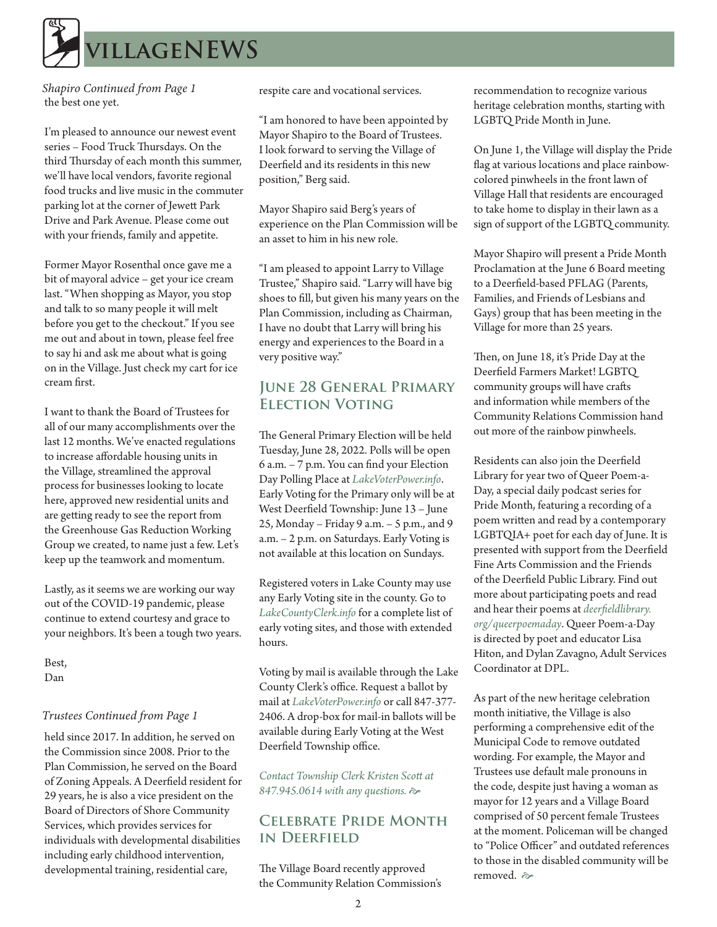

the best one yet. *Shapiro Continued from Page 1*

I'm pleased to announce our newest event series – Food Truck Thursdays. On the third Thursday of each month this summer, we'll have local vendors, favorite regional food trucks and live music in the commuter parking lot at the corner of Jewett Park Drive and Park Avenue. Please come out with your friends, family and appetite.

Former Mayor Rosenthal once gave me a bit of mayoral advice – get your ice cream last. "When shopping as Mayor, you stop and talk to so many people it will melt before you get to the checkout." If you see me out and about in town, please feel free to say hi and ask me about what is going on in the Village. Just check my cart for ice cream first.

I want to thank the Board of Trustees for all of our many accomplishments over the last 12 months. We've enacted regulations to increase affordable housing units in the Village, streamlined the approval process for businesses looking to locate here, approved new residential units and are getting ready to see the report from the Greenhouse Gas Reduction Working Group we created, to name just a few. Let's keep up the teamwork and momentum.

Lastly, as it seems we are working our way out of the COVID-19 pandemic, please continue to extend courtesy and grace to your neighbors. It's been a tough two years.

Best, Dan

#### *Trustees Continued from Page 1*

held since 2017. In addition, he served on the Commission since 2008. Prior to the Plan Commission, he served on the Board of Zoning Appeals. A Deerfield resident for 29 years, he is also a vice president on the Board of Directors of Shore Community Services, which provides services for individuals with developmental disabilities including early childhood intervention, developmental training, residential care,

respite care and vocational services.

"I am honored to have been appointed by Mayor Shapiro to the Board of Trustees. I look forward to serving the Village of Deerfield and its residents in this new position," Berg said.

Mayor Shapiro said Berg's years of experience on the Plan Commission will be an asset to him in his new role.

"I am pleased to appoint Larry to Village Trustee," Shapiro said. "Larry will have big shoes to fill, but given his many years on the Plan Commission, including as Chairman, I have no doubt that Larry will bring his energy and experiences to the Board in a very positive way."

# **June 28 General Primary Election Voting**

The General Primary Election will be held Tuesday, June 28, 2022. Polls will be open 6 a.m. – 7 p.m. You can find your Election Day Polling Place at *LakeVoterPower.info*. Early Voting for the Primary only will be at West Deerfield Township: June 13 – June 25, Monday – Friday 9 a.m. – 5 p.m., and 9 a.m. – 2 p.m. on Saturdays. Early Voting is not available at this location on Sundays.

Registered voters in Lake County may use any Early Voting site in the county. Go to *LakeCountyClerk.info* for a complete list of early voting sites, and those with extended hours.

Voting by mail is available through the Lake County Clerk's office. Request a ballot by mail at *LakeVoterPower.info* or call 847-377- 2406. A drop-box for mail-in ballots will be available during Early Voting at the West Deerfield Township office.

*Contact Township Clerk Kristen Scott at*  847.945.0614 with any questions.  $\Leftrightarrow$ 

# **Celebrate Pride Month in Deerfield**

The Village Board recently approved the Community Relation Commission's recommendation to recognize various heritage celebration months, starting with LGBTQ Pride Month in June.

On June 1, the Village will display the Pride flag at various locations and place rainbowcolored pinwheels in the front lawn of Village Hall that residents are encouraged to take home to display in their lawn as a sign of support of the LGBTQ community.

Mayor Shapiro will present a Pride Month Proclamation at the June 6 Board meeting to a Deerfield-based PFLAG (Parents, Families, and Friends of Lesbians and Gays) group that has been meeting in the Village for more than 25 years.

Then, on June 18, it's Pride Day at the Deerfield Farmers Market! LGBTQ community groups will have crafts and information while members of the Community Relations Commission hand out more of the rainbow pinwheels.

Residents can also join the Deerfield Library for year two of Queer Poem-a-Day, a special daily podcast series for Pride Month, featuring a recording of a poem written and read by a contemporary LGBTQIA+ poet for each day of June. It is presented with support from the Deerfield Fine Arts Commission and the Friends of the Deerfield Public Library. Find out more about participating poets and read and hear their poems at *deerfieldlibrary. org/queerpoemaday*. Queer Poem-a-Day is directed by poet and educator Lisa Hiton, and Dylan Zavagno, Adult Services Coordinator at DPL.

As part of the new heritage celebration month initiative, the Village is also performing a comprehensive edit of the Municipal Code to remove outdated wording. For example, the Mayor and Trustees use default male pronouns in the code, despite just having a woman as mayor for 12 years and a Village Board comprised of 50 percent female Trustees at the moment. Policeman will be changed to "Police Officer" and outdated references to those in the disabled community will be removed.  $\approx$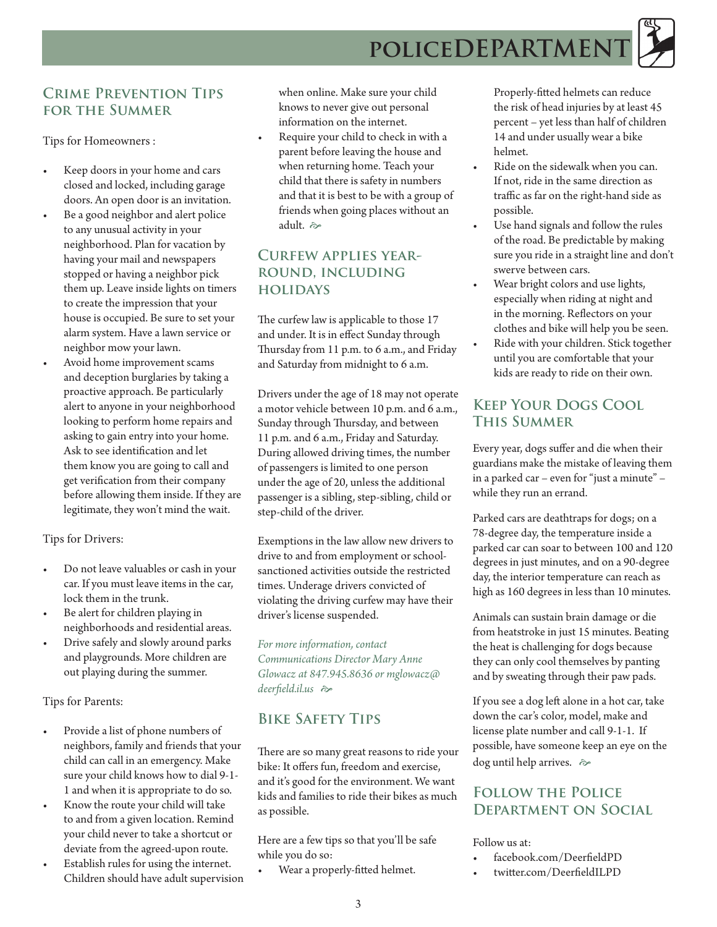# POLICEDEPARTMENT

# **Crime Prevention Tips for the Summer**

Tips for Homeowners :

- Keep doors in your home and cars closed and locked, including garage doors. An open door is an invitation.
- Be a good neighbor and alert police to any unusual activity in your neighborhood. Plan for vacation by having your mail and newspapers stopped or having a neighbor pick them up. Leave inside lights on timers to create the impression that your house is occupied. Be sure to set your alarm system. Have a lawn service or neighbor mow your lawn.
- Avoid home improvement scams and deception burglaries by taking a proactive approach. Be particularly alert to anyone in your neighborhood looking to perform home repairs and asking to gain entry into your home. Ask to see identification and let them know you are going to call and get verification from their company before allowing them inside. If they are legitimate, they won't mind the wait.

Tips for Drivers:

- Do not leave valuables or cash in your car. If you must leave items in the car, lock them in the trunk.
- Be alert for children playing in neighborhoods and residential areas.
- Drive safely and slowly around parks and playgrounds. More children are out playing during the summer.

Tips for Parents:

- Provide a list of phone numbers of neighbors, family and friends that your child can call in an emergency. Make sure your child knows how to dial 9-1- 1 and when it is appropriate to do so.
- Know the route your child will take to and from a given location. Remind your child never to take a shortcut or deviate from the agreed-upon route.
- Establish rules for using the internet. Children should have adult supervision

when online. Make sure your child knows to never give out personal information on the internet.

• Require your child to check in with a parent before leaving the house and when returning home. Teach your child that there is safety in numbers and that it is best to be with a group of friends when going places without an adult.  $\approx$ 

# **Curfew applies yearround, including holidays**

The curfew law is applicable to those 17 and under. It is in effect Sunday through Thursday from 11 p.m. to 6 a.m., and Friday and Saturday from midnight to 6 a.m.

Drivers under the age of 18 may not operate a motor vehicle between 10 p.m. and 6 a.m., Sunday through Thursday, and between 11 p.m. and 6 a.m., Friday and Saturday. During allowed driving times, the number of passengers is limited to one person under the age of 20, unless the additional passenger is a sibling, step-sibling, child or step-child of the driver.

Exemptions in the law allow new drivers to drive to and from employment or schoolsanctioned activities outside the restricted times. Underage drivers convicted of violating the driving curfew may have their driver's license suspended.

*For more information, contact Communications Director Mary Anne Glowacz at 847.945.8636 or mglowacz@ deerfield.il.us*  $\approx$ 

# **Bike Safety Tips**

There are so many great reasons to ride your bike: It offers fun, freedom and exercise, and it's good for the environment. We want kids and families to ride their bikes as much as possible.

Here are a few tips so that you'll be safe while you do so:

Wear a properly-fitted helmet.

Properly-fitted helmets can reduce the risk of head injuries by at least 45 percent – yet less than half of children 14 and under usually wear a bike helmet.

- Ride on the sidewalk when you can. If not, ride in the same direction as traffic as far on the right-hand side as possible.
- Use hand signals and follow the rules of the road. Be predictable by making sure you ride in a straight line and don't swerve between cars.
- Wear bright colors and use lights, especially when riding at night and in the morning. Reflectors on your clothes and bike will help you be seen.
- Ride with your children. Stick together until you are comfortable that your kids are ready to ride on their own.

# **Keep Your Dogs Cool This Summer**

Every year, dogs suffer and die when their guardians make the mistake of leaving them in a parked car – even for "just a minute" – while they run an errand.

Parked cars are deathtraps for dogs; on a 78-degree day, the temperature inside a parked car can soar to between 100 and 120 degrees in just minutes, and on a 90-degree day, the interior temperature can reach as high as 160 degrees in less than 10 minutes.

Animals can sustain brain damage or die from heatstroke in just 15 minutes. Beating the heat is challenging for dogs because they can only cool themselves by panting and by sweating through their paw pads.

If you see a dog left alone in a hot car, take down the car's color, model, make and license plate number and call 9-1-1. If possible, have someone keep an eye on the dog until help arrives.  $\Leftrightarrow$ 

# **Follow the Police Department on Social**

Follow us at:

- facebook.com/DeerfieldPD
- twitter.com/DeerfieldILPD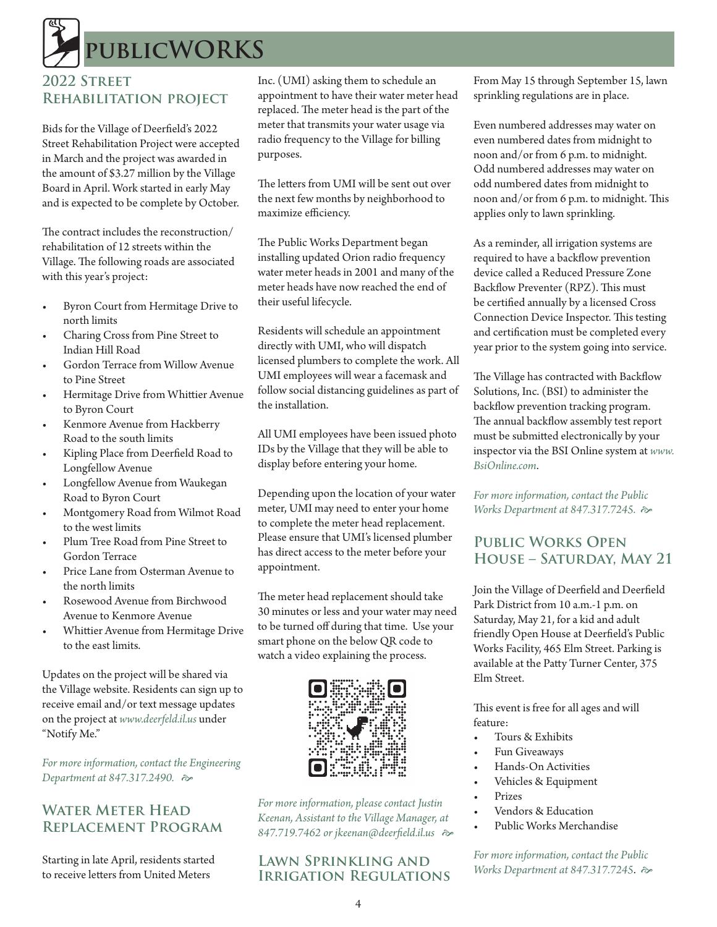# **publicWORKS**

# **2022 Street Rehabilitation project**

Bids for the Village of Deerfield's 2022 Street Rehabilitation Project were accepted in March and the project was awarded in the amount of \$3.27 million by the Village Board in April. Work started in early May and is expected to be complete by October.

The contract includes the reconstruction/ rehabilitation of 12 streets within the Village. The following roads are associated with this year's project:

- Byron Court from Hermitage Drive to north limits
- Charing Cross from Pine Street to Indian Hill Road
- Gordon Terrace from Willow Avenue to Pine Street
- Hermitage Drive from Whittier Avenue to Byron Court
- Kenmore Avenue from Hackberry Road to the south limits
- Kipling Place from Deerfield Road to Longfellow Avenue
- Longfellow Avenue from Waukegan Road to Byron Court
- Montgomery Road from Wilmot Road to the west limits
- Plum Tree Road from Pine Street to Gordon Terrace
- Price Lane from Osterman Avenue to the north limits
- Rosewood Avenue from Birchwood Avenue to Kenmore Avenue
- Whittier Avenue from Hermitage Drive to the east limits.

Updates on the project will be shared via the Village website. Residents can sign up to receive email and/or text message updates on the project at *www.deerfeld.il.us* under "Notify Me."

*For more information, contact the Engineering Department at 847.317.2490.*  $\approx$ 

# **Water Meter Head Replacement Program**

Starting in late April, residents started to receive letters from United Meters

Inc. (UMI) asking them to schedule an appointment to have their water meter head replaced. The meter head is the part of the meter that transmits your water usage via radio frequency to the Village for billing purposes.

The letters from UMI will be sent out over the next few months by neighborhood to maximize efficiency.

The Public Works Department began installing updated Orion radio frequency water meter heads in 2001 and many of the meter heads have now reached the end of their useful lifecycle.

Residents will schedule an appointment directly with UMI, who will dispatch licensed plumbers to complete the work. All UMI employees will wear a facemask and follow social distancing guidelines as part of the installation.

All UMI employees have been issued photo IDs by the Village that they will be able to display before entering your home.

Depending upon the location of your water meter, UMI may need to enter your home to complete the meter head replacement. Please ensure that UMI's licensed plumber has direct access to the meter before your appointment.

The meter head replacement should take 30 minutes or less and your water may need to be turned off during that time. Use your smart phone on the below QR code to watch a video explaining the process.



*For more information, please contact Justin Keenan, Assistant to the Village Manager, at*  847.719.7462 or jkeenan@deerfield.il.us  $\approx$ 

# **Lawn Sprinkling and Irrigation Regulations**

From May 15 through September 15, lawn sprinkling regulations are in place.

Even numbered addresses may water on even numbered dates from midnight to noon and/or from 6 p.m. to midnight. Odd numbered addresses may water on odd numbered dates from midnight to noon and/or from 6 p.m. to midnight. This applies only to lawn sprinkling.

As a reminder, all irrigation systems are required to have a backflow prevention device called a Reduced Pressure Zone Backflow Preventer (RPZ). This must be certified annually by a licensed Cross Connection Device Inspector. This testing and certification must be completed every year prior to the system going into service.

The Village has contracted with Backflow Solutions, Inc. (BSI) to administer the backflow prevention tracking program. The annual backflow assembly test report must be submitted electronically by your inspector via the BSI Online system at *www. BsiOnline.com*.

*For more information, contact the Public Works Department at 847.317.7245.*  $\approx$ 

# **Public Works Open House – Saturday, May 21**

Join the Village of Deerfield and Deerfield Park District from 10 a.m.-1 p.m. on Saturday, May 21, for a kid and adult friendly Open House at Deerfield's Public Works Facility, 465 Elm Street. Parking is available at the Patty Turner Center, 375 Elm Street.

This event is free for all ages and will feature:

- Tours & Exhibits
- Fun Giveaways
- Hands-On Activities
- Vehicles & Equipment
- Prizes
- Vendors & Education
- Public Works Merchandise

*For more information, contact the Public Works Department at 847.317.7245.*  $\approx$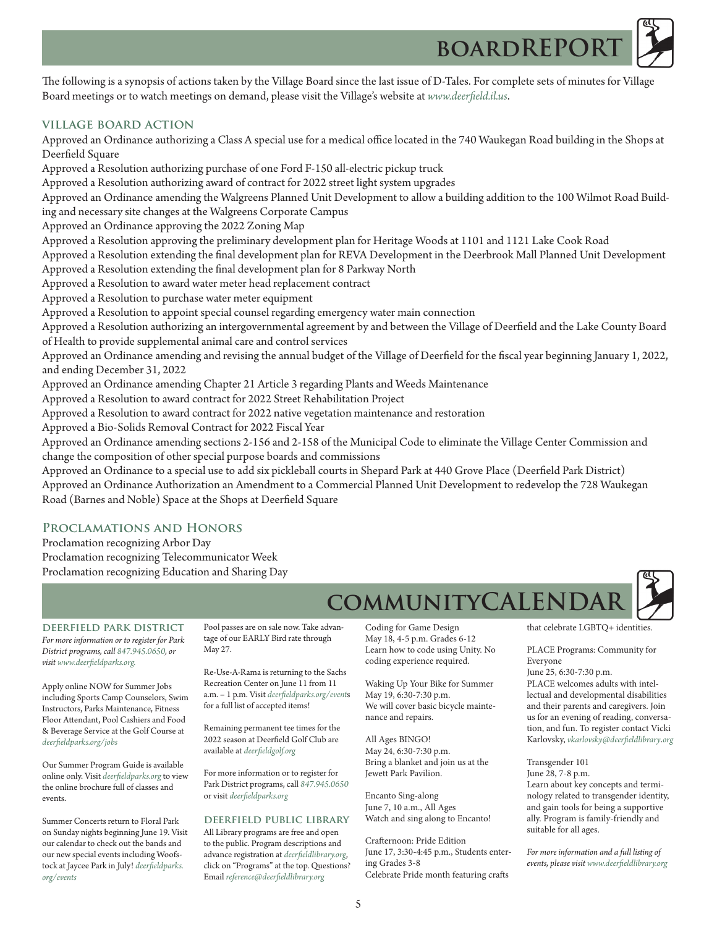The following is a synopsis of actions taken by the Village Board since the last issue of D-Tales. For complete sets of minutes for Village Board meetings or to watch meetings on demand, please visit the Village's website at *www.deerfield.il.us*.

**BOARDREPOR** 

#### **village board action**

Approved an Ordinance authorizing a Class A special use for a medical office located in the 740 Waukegan Road building in the Shops at Deerfield Square

Approved a Resolution authorizing purchase of one Ford F-150 all-electric pickup truck

Approved a Resolution authorizing award of contract for 2022 street light system upgrades

Approved an Ordinance amending the Walgreens Planned Unit Development to allow a building addition to the 100 Wilmot Road Build-

ing and necessary site changes at the Walgreens Corporate Campus

Approved an Ordinance approving the 2022 Zoning Map

Approved a Resolution approving the preliminary development plan for Heritage Woods at 1101 and 1121 Lake Cook Road

Approved a Resolution extending the final development plan for REVA Development in the Deerbrook Mall Planned Unit Development

Approved a Resolution extending the final development plan for 8 Parkway North

Approved a Resolution to award water meter head replacement contract

Approved a Resolution to purchase water meter equipment

Approved a Resolution to appoint special counsel regarding emergency water main connection

Approved a Resolution authorizing an intergovernmental agreement by and between the Village of Deerfield and the Lake County Board of Health to provide supplemental animal care and control services

Approved an Ordinance amending and revising the annual budget of the Village of Deerfield for the fiscal year beginning January 1, 2022, and ending December 31, 2022

Approved an Ordinance amending Chapter 21 Article 3 regarding Plants and Weeds Maintenance

Approved a Resolution to award contract for 2022 Street Rehabilitation Project

Approved a Resolution to award contract for 2022 native vegetation maintenance and restoration

Approved a Bio-Solids Removal Contract for 2022 Fiscal Year

Approved an Ordinance amending sections 2-156 and 2-158 of the Municipal Code to eliminate the Village Center Commission and change the composition of other special purpose boards and commissions

Approved an Ordinance to a special use to add six pickleball courts in Shepard Park at 440 Grove Place (Deerfield Park District) Approved an Ordinance Authorization an Amendment to a Commercial Planned Unit Development to redevelop the 728 Waukegan Road (Barnes and Noble) Space at the Shops at Deerfield Square

### **Proclamations and Honors**

Proclamation recognizing Arbor Day Proclamation recognizing Telecommunicator Week Proclamation recognizing Education and Sharing Day

**deerfield park district** *For more information or to register for Park District programs, call 847.945.0650, or visit www.deerfieldparks.org.*

Apply online NOW for Summer Jobs including Sports Camp Counselors, Swim Instructors, Parks Maintenance, Fitness Floor Attendant, Pool Cashiers and Food & Beverage Service at the Golf Course at *deerfieldparks.org/jobs*

Our Summer Program Guide is available online only. Visit *deerfieldparks.org* to view the online brochure full of classes and events.

Summer Concerts return to Floral Park on Sunday nights beginning June 19. Visit our calendar to check out the bands and our new special events including Woofstock at Jaycee Park in July! *deerfieldparks. org/events*

Pool passes are on sale now. Take advantage of our EARLY Bird rate through May 27.

Re-Use-A-Rama is returning to the Sachs Recreation Center on June 11 from 11 a.m. – 1 p.m. Visit *deerfieldparks.org/event*s for a full list of accepted items!

Remaining permanent tee times for the 2022 season at Deerfield Golf Club are available at *deerfieldgolf.org*

For more information or to register for Park District programs, call *847.945.0650*  or visit *deerfieldparks.org*

#### **deerfield public library**

All Library programs are free and open to the public. Program descriptions and advance registration at *deerfieldlibrary.org*, click on "Programs" at the top. Questions? Email *reference@deerfieldlibrary.org*

Coding for Game Design May 18, 4-5 p.m. Grades 6-12 Learn how to code using Unity. No coding experience required.

**COMMUNITYCALENDA** 

Waking Up Your Bike for Summer May 19, 6:30-7:30 p.m. We will cover basic bicycle maintenance and repairs.

All Ages BINGO! May 24, 6:30-7:30 p.m. Bring a blanket and join us at the Jewett Park Pavilion.

Encanto Sing-along June 7, 10 a.m., All Ages Watch and sing along to Encanto!

Crafternoon: Pride Edition June 17, 3:30-4:45 p.m., Students entering Grades 3-8 Celebrate Pride month featuring crafts



that celebrate LGBTQ+ identities.

PLACE Programs: Community for Everyone June 25, 6:30-7:30 p.m. PLACE welcomes adults with intellectual and developmental disabilities and their parents and caregivers. Join us for an evening of reading, conversation, and fun. To register contact Vicki Karlovsky, *vkarlovsky@deerfieldlibrary*.*org*

Transgender 101 June 28, 7-8 p.m. Learn about key concepts and terminology related to transgender identity, and gain tools for being a supportive ally. Program is family-friendly and suitable for all ages.

*For more information and a full listing of events, please visit www.deerfieldlibrary.org*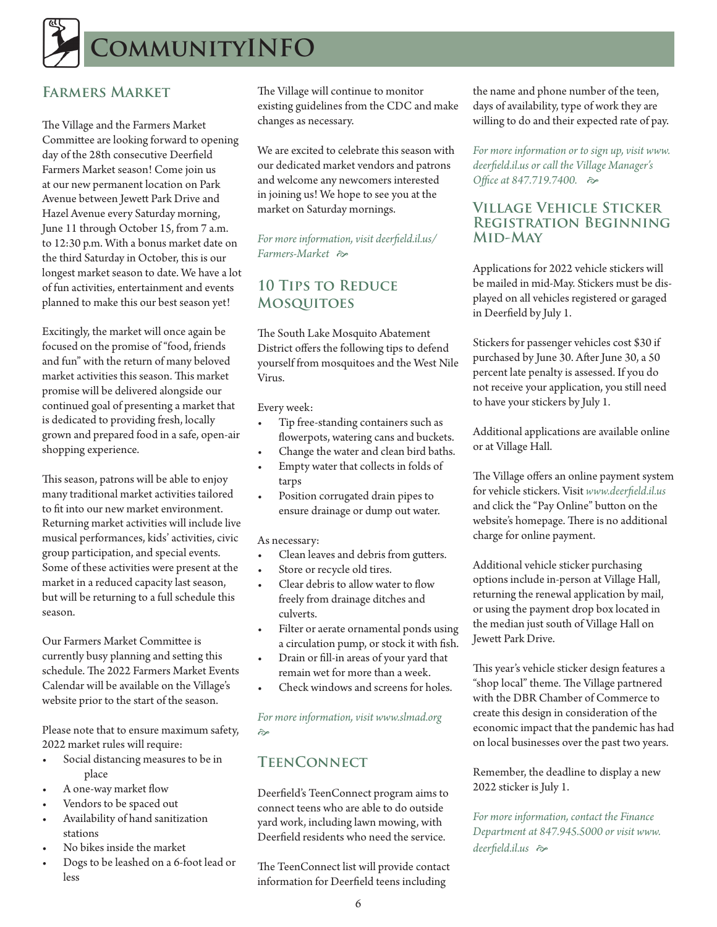

# **Farmers Market**

The Village and the Farmers Market Committee are looking forward to opening day of the 28th consecutive Deerfield Farmers Market season! Come join us at our new permanent location on Park Avenue between Jewett Park Drive and Hazel Avenue every Saturday morning, June 11 through October 15, from 7 a.m. to 12:30 p.m. With a bonus market date on the third Saturday in October, this is our longest market season to date. We have a lot of fun activities, entertainment and events planned to make this our best season yet!

Excitingly, the market will once again be focused on the promise of "food, friends and fun" with the return of many beloved market activities this season. This market promise will be delivered alongside our continued goal of presenting a market that is dedicated to providing fresh, locally grown and prepared food in a safe, open-air shopping experience.

This season, patrons will be able to enjoy many traditional market activities tailored to fit into our new market environment. Returning market activities will include live musical performances, kids' activities, civic group participation, and special events. Some of these activities were present at the market in a reduced capacity last season, but will be returning to a full schedule this season.

Our Farmers Market Committee is currently busy planning and setting this schedule. The 2022 Farmers Market Events Calendar will be available on the Village's website prior to the start of the season.

Please note that to ensure maximum safety, 2022 market rules will require:

- Social distancing measures to be in place
- A one-way market flow
- Vendors to be spaced out
- Availability of hand sanitization stations
- No bikes inside the market
- Dogs to be leashed on a 6-foot lead or less

The Village will continue to monitor existing guidelines from the CDC and make changes as necessary.

We are excited to celebrate this season with our dedicated market vendors and patrons and welcome any newcomers interested in joining us! We hope to see you at the market on Saturday mornings.

*For more information, visit deerfield.il.us/ Farmers-Market*  $\approx$ 

# **10 Tips to Reduce Mosquitoes**

The South Lake Mosquito Abatement District offers the following tips to defend yourself from mosquitoes and the West Nile Virus.

Every week:

- Tip free-standing containers such as flowerpots, watering cans and buckets.
- Change the water and clean bird baths.
- Empty water that collects in folds of tarps
- Position corrugated drain pipes to ensure drainage or dump out water.

As necessary:

- Clean leaves and debris from gutters.
- Store or recycle old tires.
- Clear debris to allow water to flow freely from drainage ditches and culverts.
- Filter or aerate ornamental ponds using a circulation pump, or stock it with fish.
- Drain or fill-in areas of your yard that remain wet for more than a week.
- Check windows and screens for holes.

*For more information, visit www.slmad.org*   $\approx$ 

# **TeenConnect**

Deerfield's TeenConnect program aims to connect teens who are able to do outside yard work, including lawn mowing, with Deerfield residents who need the service.

The TeenConnect list will provide contact information for Deerfield teens including

the name and phone number of the teen, days of availability, type of work they are willing to do and their expected rate of pay.

*For more information or to sign up, visit www. deerfield.il.us or call the Village Manager's Office at 847.719.7400.*   $\approx$ 

# **Village Vehicle Sticker Registration Beginning Mid-May**

Applications for 2022 vehicle stickers will be mailed in mid-May. Stickers must be displayed on all vehicles registered or garaged in Deerfield by July 1.

Stickers for passenger vehicles cost \$30 if purchased by June 30. After June 30, a 50 percent late penalty is assessed. If you do not receive your application, you still need to have your stickers by July 1.

Additional applications are available online or at Village Hall.

The Village offers an online payment system for vehicle stickers. Visit *www.deerfield.il.us* and click the "Pay Online" button on the website's homepage. There is no additional charge for online payment.

Additional vehicle sticker purchasing options include in-person at Village Hall, returning the renewal application by mail, or using the payment drop box located in the median just south of Village Hall on Jewett Park Drive.

This year's vehicle sticker design features a "shop local" theme. The Village partnered with the DBR Chamber of Commerce to create this design in consideration of the economic impact that the pandemic has had on local businesses over the past two years.

Remember, the deadline to display a new 2022 sticker is July 1.

*For more information, contact the Finance Department at 847.945.5000 or visit www. deerfield.il.us*  $\approx$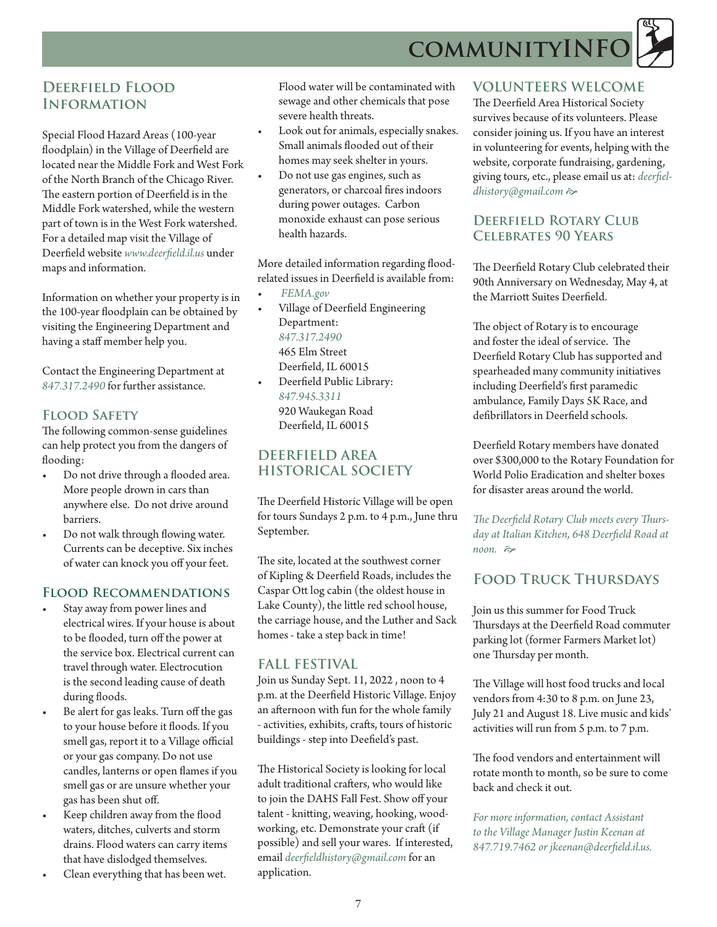**cOMMUNITYINF** 



# **Deerfield Flood Information**

Special Flood Hazard Areas (100-year floodplain) in the Village of Deerfield are located near the Middle Fork and West Fork of the North Branch of the Chicago River. The eastern portion of Deerfield is in the Middle Fork watershed, while the western part of town is in the West Fork watershed. For a detailed map visit the Village of Deerfield website *www.deerfield.il.us* under maps and information.

Information on whether your property is in the 100-year floodplain can be obtained by visiting the Engineering Department and having a staff member help you.

Contact the Engineering Department at *847.317.2490* for further assistance.

# **Flood Safety**

The following common-sense guidelines can help protect you from the dangers of flooding:

- Do not drive through a flooded area. More people drown in cars than anywhere else. Do not drive around barriers.
- Do not walk through flowing water. Currents can be deceptive. Six inches of water can knock you off your feet.

# **Flood Recommendations**

- Stay away from power lines and electrical wires. If your house is about to be flooded, turn off the power at the service box. Electrical current can travel through water. Electrocution is the second leading cause of death during floods.
- Be alert for gas leaks. Turn off the gas to your house before it floods. If you smell gas, report it to a Village official or your gas company. Do not use candles, lanterns or open flames if you smell gas or are unsure whether your gas has been shut off.
- Keep children away from the flood waters, ditches, culverts and storm drains. Flood waters can carry items that have dislodged themselves.
- Clean everything that has been wet.

Flood water will be contaminated with sewage and other chemicals that pose severe health threats.

- Look out for animals, especially snakes. Small animals flooded out of their homes may seek shelter in yours.
- Do not use gas engines, such as generators, or charcoal fires indoors during power outages. Carbon monoxide exhaust can pose serious health hazards.

More detailed information regarding floodrelated issues in Deerfield is available from:

- *FEMA.gov*
- Village of Deerfield Engineering Department: *847.317.2490* 465 Elm Street Deerfield, IL 60015
- Deerfield Public Library: *847.945.3311* 920 Waukegan Road Deerfield, IL 60015

# **DEERFIELD AREA HISTORICAL SOCIETY**

The Deerfield Historic Village will be open for tours Sundays 2 p.m. to 4 p.m., June thru September.

The site, located at the southwest corner of Kipling & Deerfield Roads, includes the Caspar Ott log cabin (the oldest house in Lake County), the little red school house, the carriage house, and the Luther and Sack homes - take a step back in time!

# **FALL FESTIVAL**

Join us Sunday Sept. 11, 2022 , noon to 4 p.m. at the Deerfield Historic Village. Enjoy an afternoon with fun for the whole family - activities, exhibits, crafts, tours of historic buildings - step into Deefield's past.

The Historical Society is looking for local adult traditional crafters, who would like to join the DAHS Fall Fest. Show off your talent - knitting, weaving, hooking, woodworking, etc. Demonstrate your craft (if possible) and sell your wares. If interested, email *deerfieldhistory@gmail.com* for an application.

# **VOLUNTEERS WELCOME**

The Deerfield Area Historical Society survives because of its volunteers. Please consider joining us. If you have an interest in volunteering for events, helping with the website, corporate fundraising, gardening, giving tours, etc., please email us at: *deerfiel*dhistory@gmail.com

## **Deerfield Rotary Club Celebrates 90 Years**

The Deerfield Rotary Club celebrated their 90th Anniversary on Wednesday, May 4, at the Marriott Suites Deerfield.

The object of Rotary is to encourage and foster the ideal of service. The Deerfield Rotary Club has supported and spearheaded many community initiatives including Deerfield's first paramedic ambulance, Family Days 5K Race, and defibrillators in Deerfield schools.

Deerfield Rotary members have donated over \$300,000 to the Rotary Foundation for World Polio Eradication and shelter boxes for disaster areas around the world.

*The Deerfield Rotary Club meets every Thursday at Italian Kitchen, 648 Deerfield Road at noon.*  $\approx$ 

# **Food Truck Thursdays**

Join us this summer for Food Truck Thursdays at the Deerfield Road commuter parking lot (former Farmers Market lot) one Thursday per month.

The Village will host food trucks and local vendors from 4:30 to 8 p.m. on June 23, July 21 and August 18. Live music and kids' activities will run from 5 p.m. to 7 p.m.

The food vendors and entertainment will rotate month to month, so be sure to come back and check it out.

*For more information, contact Assistant to the Village Manager Justin Keenan at 847.719.7462 or jkeenan@deerfield.il.us.*